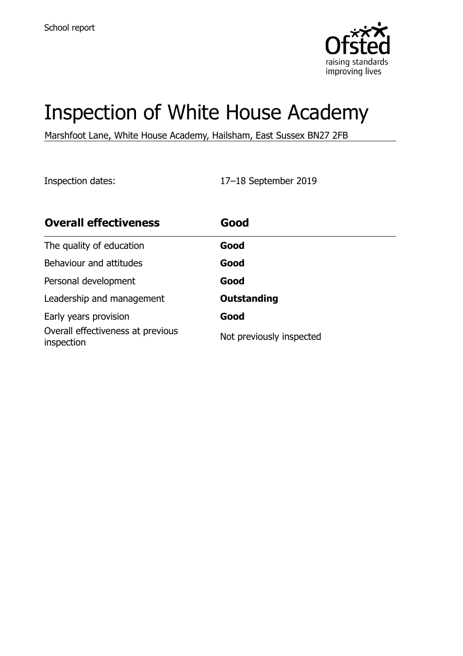

# Inspection of White House Academy

Marshfoot Lane, White House Academy, Hailsham, East Sussex BN27 2FB

Inspection dates: 17–18 September 2019

| <b>Overall effectiveness</b>                    | Good                     |
|-------------------------------------------------|--------------------------|
| The quality of education                        | Good                     |
| Behaviour and attitudes                         | Good                     |
| Personal development                            | Good                     |
| Leadership and management                       | <b>Outstanding</b>       |
| Early years provision                           | Good                     |
| Overall effectiveness at previous<br>inspection | Not previously inspected |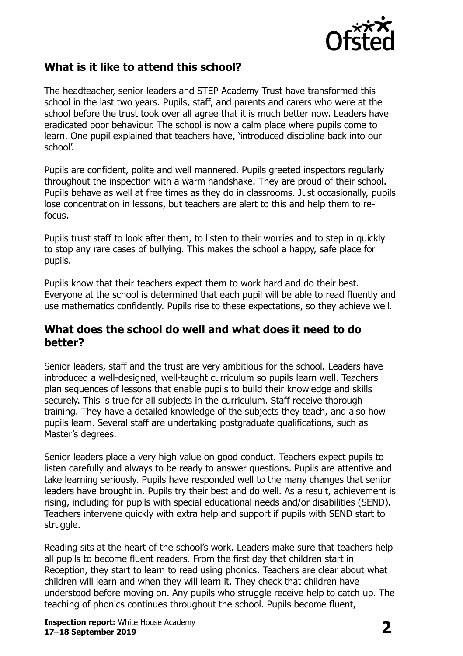

### **What is it like to attend this school?**

The headteacher, senior leaders and STEP Academy Trust have transformed this school in the last two years. Pupils, staff, and parents and carers who were at the school before the trust took over all agree that it is much better now. Leaders have eradicated poor behaviour. The school is now a calm place where pupils come to learn. One pupil explained that teachers have, 'introduced discipline back into our school'.

Pupils are confident, polite and well mannered. Pupils greeted inspectors regularly throughout the inspection with a warm handshake. They are proud of their school. Pupils behave as well at free times as they do in classrooms. Just occasionally, pupils lose concentration in lessons, but teachers are alert to this and help them to refocus.

Pupils trust staff to look after them, to listen to their worries and to step in quickly to stop any rare cases of bullying. This makes the school a happy, safe place for pupils.

Pupils know that their teachers expect them to work hard and do their best. Everyone at the school is determined that each pupil will be able to read fluently and use mathematics confidently. Pupils rise to these expectations, so they achieve well.

#### **What does the school do well and what does it need to do better?**

Senior leaders, staff and the trust are very ambitious for the school. Leaders have introduced a well-designed, well-taught curriculum so pupils learn well. Teachers plan sequences of lessons that enable pupils to build their knowledge and skills securely. This is true for all subjects in the curriculum. Staff receive thorough training. They have a detailed knowledge of the subjects they teach, and also how pupils learn. Several staff are undertaking postgraduate qualifications, such as Master's degrees.

Senior leaders place a very high value on good conduct. Teachers expect pupils to listen carefully and always to be ready to answer questions. Pupils are attentive and take learning seriously. Pupils have responded well to the many changes that senior leaders have brought in. Pupils try their best and do well. As a result, achievement is rising, including for pupils with special educational needs and/or disabilities (SEND). Teachers intervene quickly with extra help and support if pupils with SEND start to struggle.

Reading sits at the heart of the school's work. Leaders make sure that teachers help all pupils to become fluent readers. From the first day that children start in Reception, they start to learn to read using phonics. Teachers are clear about what children will learn and when they will learn it. They check that children have understood before moving on. Any pupils who struggle receive help to catch up. The teaching of phonics continues throughout the school. Pupils become fluent,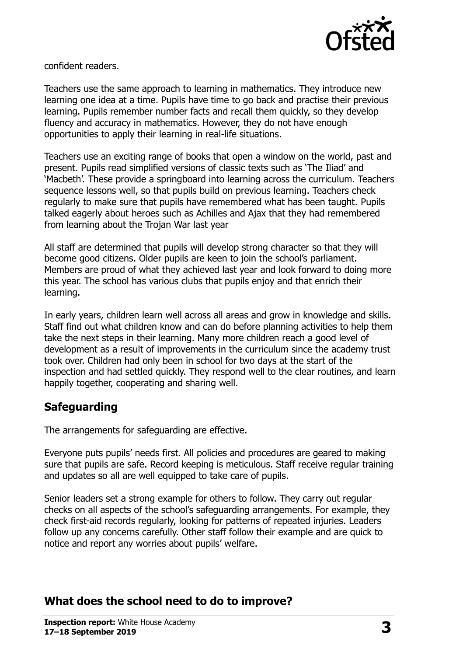

confident readers.

Teachers use the same approach to learning in mathematics. They introduce new learning one idea at a time. Pupils have time to go back and practise their previous learning. Pupils remember number facts and recall them quickly, so they develop fluency and accuracy in mathematics. However, they do not have enough opportunities to apply their learning in real-life situations.

Teachers use an exciting range of books that open a window on the world, past and present. Pupils read simplified versions of classic texts such as 'The Iliad' and 'Macbeth'. These provide a springboard into learning across the curriculum. Teachers sequence lessons well, so that pupils build on previous learning. Teachers check regularly to make sure that pupils have remembered what has been taught. Pupils talked eagerly about heroes such as Achilles and Ajax that they had remembered from learning about the Trojan War last year

All staff are determined that pupils will develop strong character so that they will become good citizens. Older pupils are keen to join the school's parliament. Members are proud of what they achieved last year and look forward to doing more this year. The school has various clubs that pupils enjoy and that enrich their learning.

In early years, children learn well across all areas and grow in knowledge and skills. Staff find out what children know and can do before planning activities to help them take the next steps in their learning. Many more children reach a good level of development as a result of improvements in the curriculum since the academy trust took over. Children had only been in school for two days at the start of the inspection and had settled quickly. They respond well to the clear routines, and learn happily together, cooperating and sharing well.

#### **Safeguarding**

The arrangements for safeguarding are effective.

Everyone puts pupils' needs first. All policies and procedures are geared to making sure that pupils are safe. Record keeping is meticulous. Staff receive regular training and updates so all are well equipped to take care of pupils.

Senior leaders set a strong example for others to follow. They carry out regular checks on all aspects of the school's safeguarding arrangements. For example, they check first-aid records regularly, looking for patterns of repeated injuries. Leaders follow up any concerns carefully. Other staff follow their example and are quick to notice and report any worries about pupils' welfare.

# **What does the school need to do to improve?**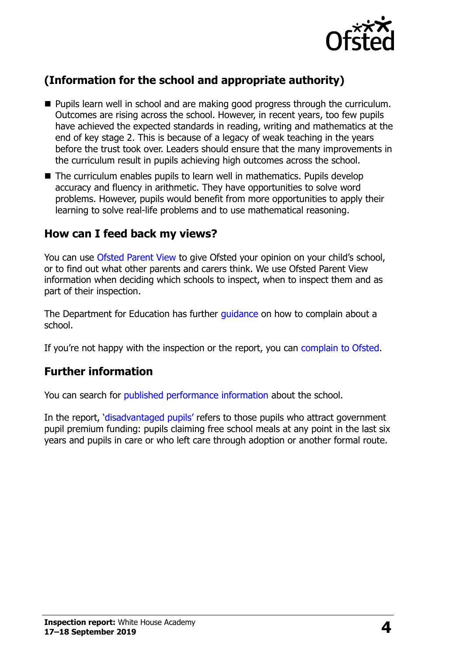

# **(Information for the school and appropriate authority)**

- **Pupils learn well in school and are making good progress through the curriculum.** Outcomes are rising across the school. However, in recent years, too few pupils have achieved the expected standards in reading, writing and mathematics at the end of key stage 2. This is because of a legacy of weak teaching in the years before the trust took over. Leaders should ensure that the many improvements in the curriculum result in pupils achieving high outcomes across the school.
- The curriculum enables pupils to learn well in mathematics. Pupils develop accuracy and fluency in arithmetic. They have opportunities to solve word problems. However, pupils would benefit from more opportunities to apply their learning to solve real-life problems and to use mathematical reasoning.

#### **How can I feed back my views?**

You can use [Ofsted Parent View](http://parentview.ofsted.gov.uk/) to give Ofsted your opinion on your child's school, or to find out what other parents and carers think. We use Ofsted Parent View information when deciding which schools to inspect, when to inspect them and as part of their inspection.

The Department for Education has further quidance on how to complain about a school.

If you're not happy with the inspection or the report, you can [complain to Ofsted.](http://www.gov.uk/complain-ofsted-report)

#### **Further information**

You can search for [published performance information](http://www.compare-school-performance.service.gov.uk/) about the school.

In the report, '[disadvantaged pupils](http://www.gov.uk/guidance/pupil-premium-information-for-schools-and-alternative-provision-settings)' refers to those pupils who attract government pupil premium funding: pupils claiming free school meals at any point in the last six years and pupils in care or who left care through adoption or another formal route.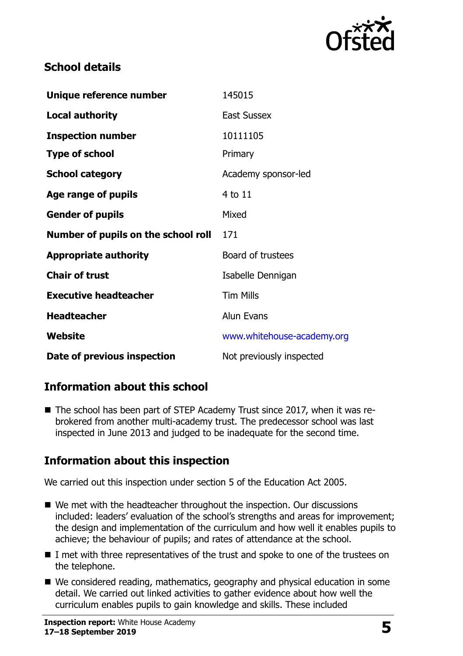

## **School details**

| Unique reference number             | 145015                     |
|-------------------------------------|----------------------------|
| <b>Local authority</b>              | <b>East Sussex</b>         |
| <b>Inspection number</b>            | 10111105                   |
| <b>Type of school</b>               | Primary                    |
| <b>School category</b>              | Academy sponsor-led        |
| Age range of pupils                 | 4 to 11                    |
| <b>Gender of pupils</b>             | Mixed                      |
| Number of pupils on the school roll | 171                        |
| <b>Appropriate authority</b>        | Board of trustees          |
| <b>Chair of trust</b>               | Isabelle Dennigan          |
| <b>Executive headteacher</b>        | <b>Tim Mills</b>           |
| <b>Headteacher</b>                  | Alun Evans                 |
| Website                             | www.whitehouse-academy.org |
| Date of previous inspection         | Not previously inspected   |

# **Information about this school**

■ The school has been part of STEP Academy Trust since 2017, when it was rebrokered from another multi-academy trust. The predecessor school was last inspected in June 2013 and judged to be inadequate for the second time.

# **Information about this inspection**

We carried out this inspection under section 5 of the Education Act 2005.

- We met with the headteacher throughout the inspection. Our discussions included: leaders' evaluation of the school's strengths and areas for improvement; the design and implementation of the curriculum and how well it enables pupils to achieve; the behaviour of pupils; and rates of attendance at the school.
- I met with three representatives of the trust and spoke to one of the trustees on the telephone.
- We considered reading, mathematics, geography and physical education in some detail. We carried out linked activities to gather evidence about how well the curriculum enables pupils to gain knowledge and skills. These included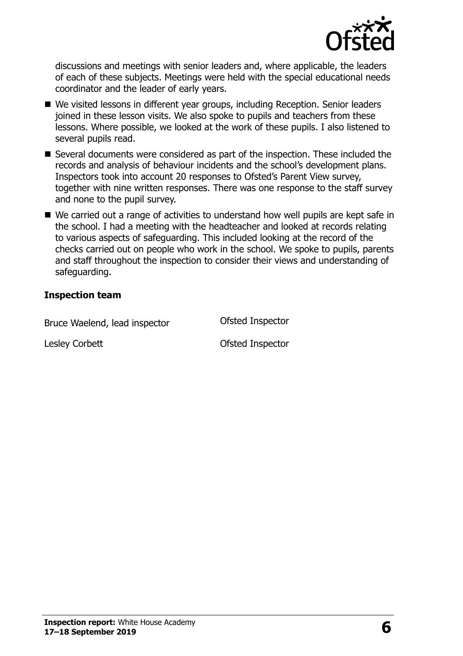

discussions and meetings with senior leaders and, where applicable, the leaders of each of these subjects. Meetings were held with the special educational needs coordinator and the leader of early years.

- We visited lessons in different year groups, including Reception. Senior leaders joined in these lesson visits. We also spoke to pupils and teachers from these lessons. Where possible, we looked at the work of these pupils. I also listened to several pupils read.
- Several documents were considered as part of the inspection. These included the records and analysis of behaviour incidents and the school's development plans. Inspectors took into account 20 responses to Ofsted's Parent View survey, together with nine written responses. There was one response to the staff survey and none to the pupil survey.
- We carried out a range of activities to understand how well pupils are kept safe in the school. I had a meeting with the headteacher and looked at records relating to various aspects of safeguarding. This included looking at the record of the checks carried out on people who work in the school. We spoke to pupils, parents and staff throughout the inspection to consider their views and understanding of safeguarding.

#### **Inspection team**

Bruce Waelend, lead inspector **Ofsted Inspector** 

Lesley Corbett **Contract Contract Contract Contract Contract Contract Contract Contract Contract Contract Contract Contract Contract Contract Contract Contract Contract Contract Contract Contract Contract Contract Contract**